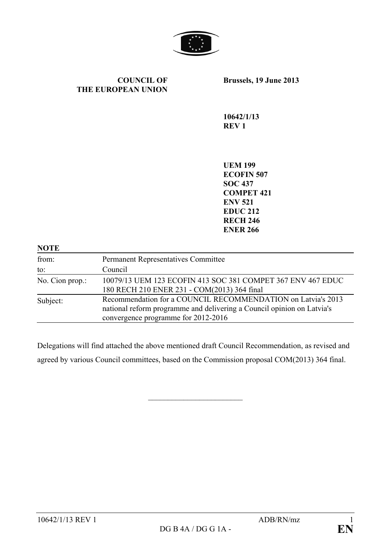

#### **COUNCIL OF THE EUROPEAN UNION**

**Brussels, 19 June 2013**

**10642/1/13 REV 1**

**UEM 199 ECOFIN 507 SOC 437 COMPET 421 ENV 521 EDUC 212 RECH 246 ENER 266**

| <b>NOTE</b>     |                                                                                                                                                                               |
|-----------------|-------------------------------------------------------------------------------------------------------------------------------------------------------------------------------|
| from:           | <b>Permanent Representatives Committee</b>                                                                                                                                    |
| to:             | Council                                                                                                                                                                       |
| No. Cion prop.: | 10079/13 UEM 123 ECOFIN 413 SOC 381 COMPET 367 ENV 467 EDUC<br>180 RECH 210 ENER 231 - COM(2013) 364 final                                                                    |
| Subject:        | Recommendation for a COUNCIL RECOMMENDATION on Latvia's 2013<br>national reform programme and delivering a Council opinion on Latvia's<br>convergence programme for 2012-2016 |

Delegations will find attached the above mentioned draft Council Recommendation, as revised and agreed by various Council committees, based on the Commission proposal COM(2013) 364 final.

 $\overline{\phantom{a}}$  , which is a set of the set of the set of the set of the set of the set of the set of the set of the set of the set of the set of the set of the set of the set of the set of the set of the set of the set of th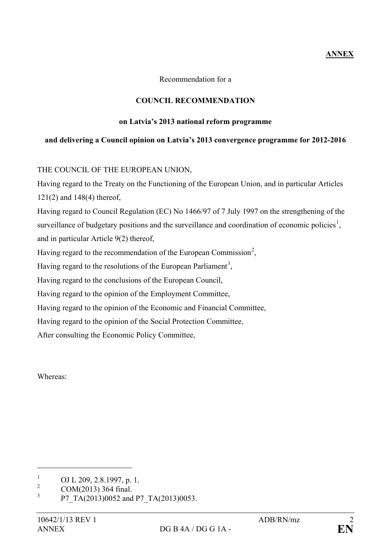# **ANNEX**

Recommendation for a

## **COUNCIL RECOMMENDATION**

### **on Latvia's 2013 national reform programme**

### **and delivering a Council opinion on Latvia's 2013 convergence programme for 2012-2016**

## THE COUNCIL OF THE EUROPEAN UNION,

Having regard to the Treaty on the Functioning of the European Union, and in particular Articles 121(2) and 148(4) thereof, Having regard to Council Regulation (EC) No 1466/97 of 7 July 1997 on the strengthening of the

surveillance of budgetary positions and the surveillance and coordination of economic policies<sup>[1](#page-1-0)</sup>, and in particular Article 9(2) thereof,

Having regard to the recommendation of the European Commission<sup>[2](#page-1-1)</sup>,

Having regard to the resolutions of the European Parliament<sup>[3](#page-1-2)</sup>,

Having regard to the conclusions of the European Council,

Having regard to the opinion of the Employment Committee,

Having regard to the opinion of the Economic and Financial Committee,

Having regard to the opinion of the Social Protection Committee,

After consulting the Economic Policy Committee,

Whereas:

 $\overline{a}$ 

<span id="page-1-0"></span> $\frac{1}{2}$  OJ L 209, 2.8.1997, p. 1.

<span id="page-1-1"></span> $2 \text{COM}(2013)$  364 final.

<span id="page-1-2"></span><sup>3</sup> P7\_TA(2013)0052 and P7\_TA(2013)0053.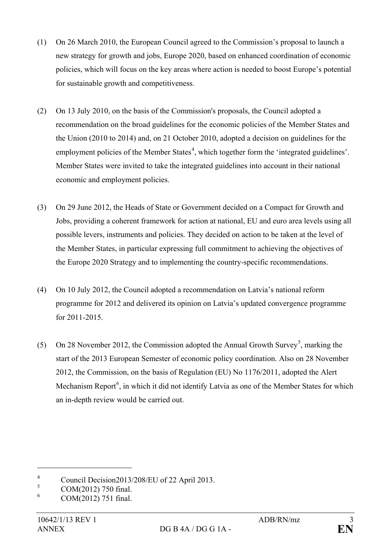- (1) On 26 March 2010, the European Council agreed to the Commission's proposal to launch a new strategy for growth and jobs, Europe 2020, based on enhanced coordination of economic policies, which will focus on the key areas where action is needed to boost Europe's potential for sustainable growth and competitiveness.
- (2) On 13 July 2010, on the basis of the Commission's proposals, the Council adopted a recommendation on the broad guidelines for the economic policies of the Member States and the Union (2010 to 2014) and, on 21 October 2010, adopted a decision on guidelines for the employment policies of the Member States<sup>[4](#page-2-0)</sup>, which together form the 'integrated guidelines'. Member States were invited to take the integrated guidelines into account in their national economic and employment policies.
- (3) On 29 June 2012, the Heads of State or Government decided on a Compact for Growth and Jobs, providing a coherent framework for action at national, EU and euro area levels using all possible levers, instruments and policies. They decided on action to be taken at the level of the Member States, in particular expressing full commitment to achieving the objectives of the Europe 2020 Strategy and to implementing the country-specific recommendations.
- (4) On 10 July 2012, the Council adopted a recommendation on Latvia's national reform programme for 2012 and delivered its opinion on Latvia's updated convergence programme for 2011-2015.
- ([5](#page-2-1)) On 28 November 2012, the Commission adopted the Annual Growth Survey<sup>5</sup>, marking the start of the 2013 European Semester of economic policy coordination. Also on 28 November 2012, the Commission, on the basis of Regulation (EU) No 1176/2011, adopted the Alert Mechanism Report<sup>[6](#page-2-2)</sup>, in which it did not identify Latvia as one of the Member States for which an in-depth review would be carried out.

 $\overline{a}$ 

<span id="page-2-0"></span><sup>&</sup>lt;sup>4</sup> Council Decision2013/208/EU of 22 April 2013.

<span id="page-2-1"></span> $\frac{5}{6}$  COM(2012) 750 final.

<span id="page-2-2"></span><sup>6</sup> COM(2012) 751 final.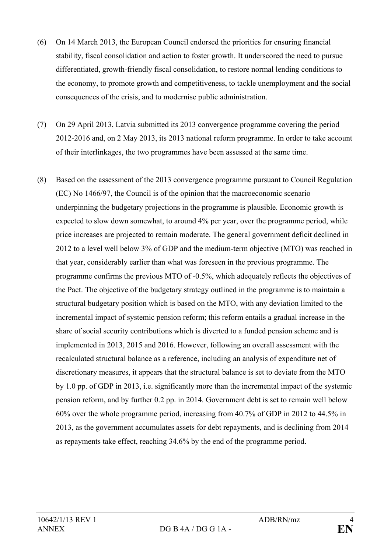- (6) On 14 March 2013, the European Council endorsed the priorities for ensuring financial stability, fiscal consolidation and action to foster growth. It underscored the need to pursue differentiated, growth-friendly fiscal consolidation, to restore normal lending conditions to the economy, to promote growth and competitiveness, to tackle unemployment and the social consequences of the crisis, and to modernise public administration.
- (7) On 29 April 2013, Latvia submitted its 2013 convergence programme covering the period 2012-2016 and, on 2 May 2013, its 2013 national reform programme. In order to take account of their interlinkages, the two programmes have been assessed at the same time.
- (8) Based on the assessment of the 2013 convergence programme pursuant to Council Regulation (EC) No 1466/97, the Council is of the opinion that the macroeconomic scenario underpinning the budgetary projections in the programme is plausible. Economic growth is expected to slow down somewhat, to around 4% per year, over the programme period, while price increases are projected to remain moderate. The general government deficit declined in 2012 to a level well below 3% of GDP and the medium-term objective (MTO) was reached in that year, considerably earlier than what was foreseen in the previous programme. The programme confirms the previous MTO of -0.5%, which adequately reflects the objectives of the Pact. The objective of the budgetary strategy outlined in the programme is to maintain a structural budgetary position which is based on the MTO, with any deviation limited to the incremental impact of systemic pension reform; this reform entails a gradual increase in the share of social security contributions which is diverted to a funded pension scheme and is implemented in 2013, 2015 and 2016. However, following an overall assessment with the recalculated structural balance as a reference, including an analysis of expenditure net of discretionary measures, it appears that the structural balance is set to deviate from the MTO by 1.0 pp. of GDP in 2013, i.e. significantly more than the incremental impact of the systemic pension reform, and by further 0.2 pp. in 2014. Government debt is set to remain well below 60% over the whole programme period, increasing from 40.7% of GDP in 2012 to 44.5% in 2013, as the government accumulates assets for debt repayments, and is declining from 2014 as repayments take effect, reaching 34.6% by the end of the programme period.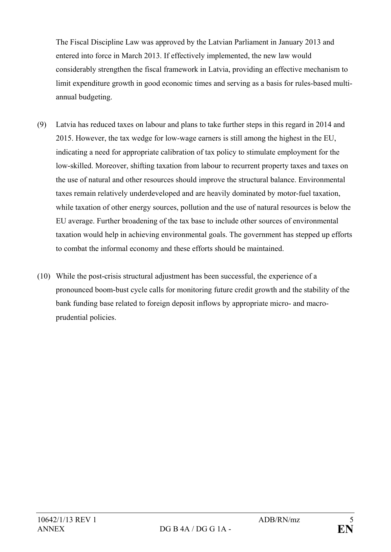The Fiscal Discipline Law was approved by the Latvian Parliament in January 2013 and entered into force in March 2013. If effectively implemented, the new law would considerably strengthen the fiscal framework in Latvia, providing an effective mechanism to limit expenditure growth in good economic times and serving as a basis for rules-based multiannual budgeting.

- (9) Latvia has reduced taxes on labour and plans to take further steps in this regard in 2014 and 2015. However, the tax wedge for low-wage earners is still among the highest in the EU, indicating a need for appropriate calibration of tax policy to stimulate employment for the low-skilled. Moreover, shifting taxation from labour to recurrent property taxes and taxes on the use of natural and other resources should improve the structural balance. Environmental taxes remain relatively underdeveloped and are heavily dominated by motor-fuel taxation, while taxation of other energy sources, pollution and the use of natural resources is below the EU average. Further broadening of the tax base to include other sources of environmental taxation would help in achieving environmental goals. The government has stepped up efforts to combat the informal economy and these efforts should be maintained.
- (10) While the post-crisis structural adjustment has been successful, the experience of a pronounced boom-bust cycle calls for monitoring future credit growth and the stability of the bank funding base related to foreign deposit inflows by appropriate micro- and macroprudential policies.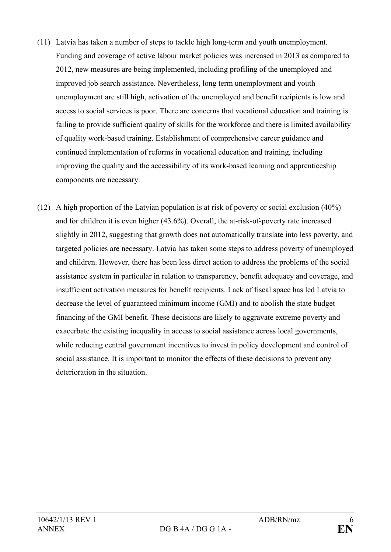- (11) Latvia has taken a number of steps to tackle high long-term and youth unemployment. Funding and coverage of active labour market policies was increased in 2013 as compared to 2012, new measures are being implemented, including profiling of the unemployed and improved job search assistance. Nevertheless, long term unemployment and youth unemployment are still high, activation of the unemployed and benefit recipients is low and access to social services is poor. There are concerns that vocational education and training is failing to provide sufficient quality of skills for the workforce and there is limited availability of quality work-based training. Establishment of comprehensive career guidance and continued implementation of reforms in vocational education and training, including improving the quality and the accessibility of its work-based learning and apprenticeship components are necessary.
- (12) A high proportion of the Latvian population is at risk of poverty or social exclusion (40%) and for children it is even higher (43.6%). Overall, the at-risk-of-poverty rate increased slightly in 2012, suggesting that growth does not automatically translate into less poverty, and targeted policies are necessary. Latvia has taken some steps to address poverty of unemployed and children. However, there has been less direct action to address the problems of the social assistance system in particular in relation to transparency, benefit adequacy and coverage, and insufficient activation measures for benefit recipients. Lack of fiscal space has led Latvia to decrease the level of guaranteed minimum income (GMI) and to abolish the state budget financing of the GMI benefit. These decisions are likely to aggravate extreme poverty and exacerbate the existing inequality in access to social assistance across local governments, while reducing central government incentives to invest in policy development and control of social assistance. It is important to monitor the effects of these decisions to prevent any deterioration in the situation.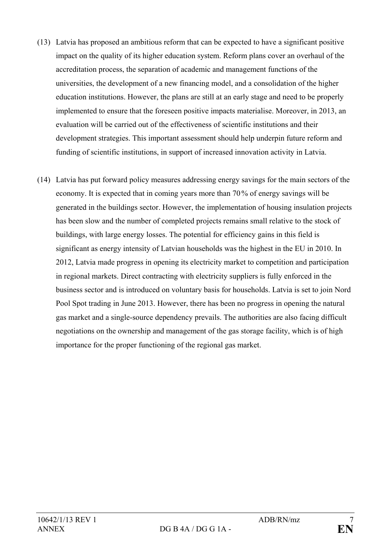- (13) Latvia has proposed an ambitious reform that can be expected to have a significant positive impact on the quality of its higher education system. Reform plans cover an overhaul of the accreditation process, the separation of academic and management functions of the universities, the development of a new financing model, and a consolidation of the higher education institutions. However, the plans are still at an early stage and need to be properly implemented to ensure that the foreseen positive impacts materialise. Moreover, in 2013, an evaluation will be carried out of the effectiveness of scientific institutions and their development strategies. This important assessment should help underpin future reform and funding of scientific institutions, in support of increased innovation activity in Latvia.
- (14) Latvia has put forward policy measures addressing energy savings for the main sectors of the economy. It is expected that in coming years more than 70% of energy savings will be generated in the buildings sector. However, the implementation of housing insulation projects has been slow and the number of completed projects remains small relative to the stock of buildings, with large energy losses. The potential for efficiency gains in this field is significant as energy intensity of Latvian households was the highest in the EU in 2010. In 2012, Latvia made progress in opening its electricity market to competition and participation in regional markets. Direct contracting with electricity suppliers is fully enforced in the business sector and is introduced on voluntary basis for households. Latvia is set to join Nord Pool Spot trading in June 2013. However, there has been no progress in opening the natural gas market and a single-source dependency prevails. The authorities are also facing difficult negotiations on the ownership and management of the gas storage facility, which is of high importance for the proper functioning of the regional gas market.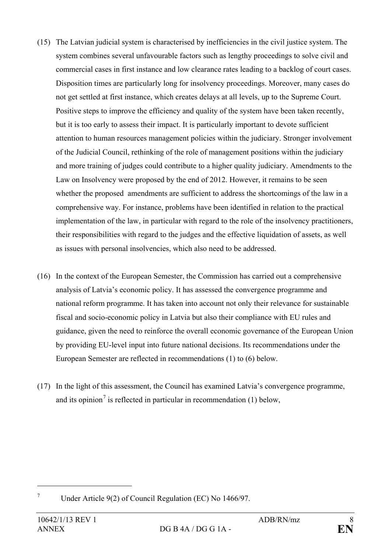- (15) The Latvian judicial system is characterised by inefficiencies in the civil justice system. The system combines several unfavourable factors such as lengthy proceedings to solve civil and commercial cases in first instance and low clearance rates leading to a backlog of court cases. Disposition times are particularly long for insolvency proceedings. Moreover, many cases do not get settled at first instance, which creates delays at all levels, up to the Supreme Court. Positive steps to improve the efficiency and quality of the system have been taken recently, but it is too early to assess their impact. It is particularly important to devote sufficient attention to human resources management policies within the judiciary. Stronger involvement of the Judicial Council, rethinking of the role of management positions within the judiciary and more training of judges could contribute to a higher quality judiciary. Amendments to the Law on Insolvency were proposed by the end of 2012. However, it remains to be seen whether the proposed amendments are sufficient to address the shortcomings of the law in a comprehensive way. For instance, problems have been identified in relation to the practical implementation of the law, in particular with regard to the role of the insolvency practitioners, their responsibilities with regard to the judges and the effective liquidation of assets, as well as issues with personal insolvencies, which also need to be addressed.
- (16) In the context of the European Semester, the Commission has carried out a comprehensive analysis of Latvia's economic policy. It has assessed the convergence programme and national reform programme. It has taken into account not only their relevance for sustainable fiscal and socio-economic policy in Latvia but also their compliance with EU rules and guidance, given the need to reinforce the overall economic governance of the European Union by providing EU-level input into future national decisions. Its recommendations under the European Semester are reflected in recommendations (1) to (6) below.
- (17) In the light of this assessment, the Council has examined Latvia's convergence programme, and its opinion<sup>[7](#page-7-0)</sup> is reflected in particular in recommendation  $(1)$  below,

 $\overline{a}$ 

<span id="page-7-0"></span><sup>7</sup> Under Article 9(2) of Council Regulation (EC) No 1466/97.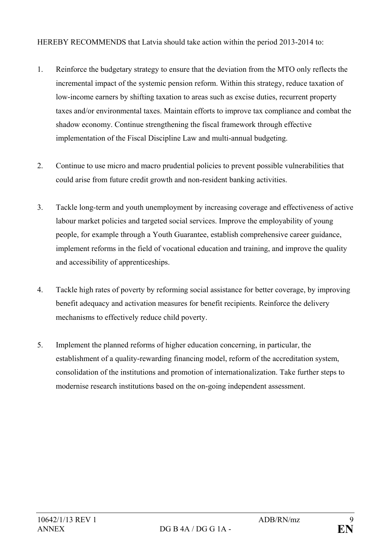HEREBY RECOMMENDS that Latvia should take action within the period 2013-2014 to:

- 1. Reinforce the budgetary strategy to ensure that the deviation from the MTO only reflects the incremental impact of the systemic pension reform. Within this strategy, reduce taxation of low-income earners by shifting taxation to areas such as excise duties, recurrent property taxes and/or environmental taxes. Maintain efforts to improve tax compliance and combat the shadow economy. Continue strengthening the fiscal framework through effective implementation of the Fiscal Discipline Law and multi-annual budgeting.
- 2. Continue to use micro and macro prudential policies to prevent possible vulnerabilities that could arise from future credit growth and non-resident banking activities.
- 3. Tackle long-term and youth unemployment by increasing coverage and effectiveness of active labour market policies and targeted social services. Improve the employability of young people, for example through a Youth Guarantee, establish comprehensive career guidance, implement reforms in the field of vocational education and training, and improve the quality and accessibility of apprenticeships.
- 4. Tackle high rates of poverty by reforming social assistance for better coverage, by improving benefit adequacy and activation measures for benefit recipients. Reinforce the delivery mechanisms to effectively reduce child poverty.
- 5. Implement the planned reforms of higher education concerning, in particular, the establishment of a quality-rewarding financing model, reform of the accreditation system, consolidation of the institutions and promotion of internationalization. Take further steps to modernise research institutions based on the on-going independent assessment.